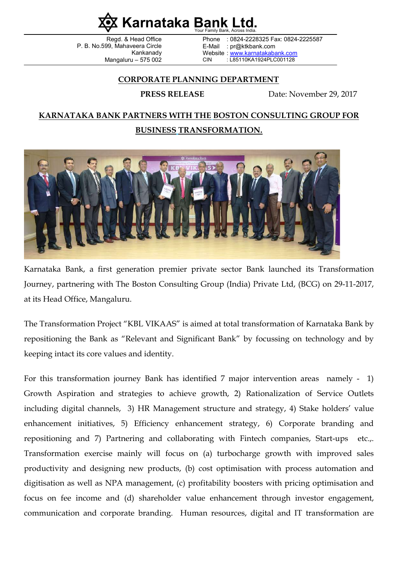

Regd. & Head Office P. B. No.599, Mahaveera Circle Kankanady Mangaluru – 575 002

Phone : 0824-2228325 Fax: 0824-2225587 E-Mail : pr@ktkbank.com Website : www.karnatakabank.com CIN : L85110KA1924PLC001128

## CORPORATE PLANNING DEPARTMENT

PRESS RELEASE Date: November 29, 2017

## KARNATAKA BANK PARTNERS WITH THE BOSTON CONSULTING GROUP FOR BUSINESS TRANSFORMATION.



Karnataka Bank, a first generation premier private sector Bank launched its Transformation Journey, partnering with The Boston Consulting Group (India) Private Ltd, (BCG) on 29-11-2017, at its Head Office, Mangaluru.

The Transformation Project "KBL VIKAAS" is aimed at total transformation of Karnataka Bank by repositioning the Bank as "Relevant and Significant Bank" by focussing on technology and by keeping intact its core values and identity.

For this transformation journey Bank has identified 7 major intervention areas namely - 1) Growth Aspiration and strategies to achieve growth, 2) Rationalization of Service Outlets including digital channels, 3) HR Management structure and strategy, 4) Stake holders' value enhancement initiatives, 5) Efficiency enhancement strategy, 6) Corporate branding and repositioning and 7) Partnering and collaborating with Fintech companies, Start-ups etc.,. Transformation exercise mainly will focus on (a) turbocharge growth with improved sales productivity and designing new products, (b) cost optimisation with process automation and digitisation as well as NPA management, (c) profitability boosters with pricing optimisation and focus on fee income and (d) shareholder value enhancement through investor engagement, communication and corporate branding. Human resources, digital and IT transformation are